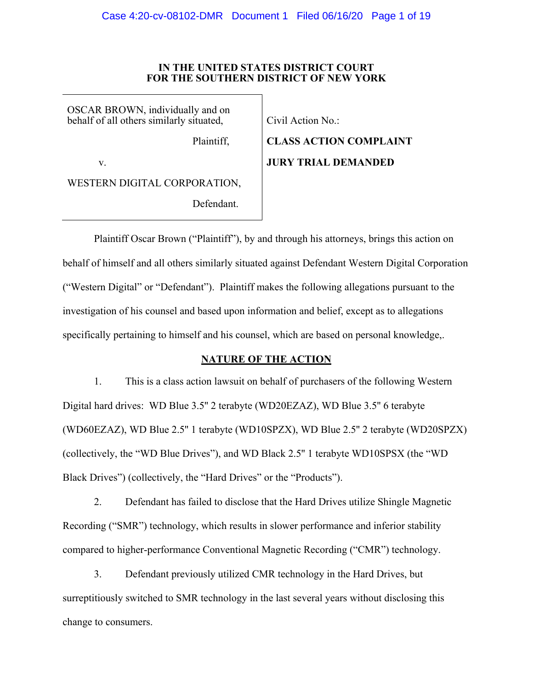#### **IN THE UNITED STATES DISTRICT COURT FOR THE SOUTHERN DISTRICT OF NEW YORK**

OSCAR BROWN, individually and on behalf of all others similarly situated,

Plaintiff,

v.

WESTERN DIGITAL CORPORATION,

Defendant.

Civil Action No.:

**CLASS ACTION COMPLAINT JURY TRIAL DEMANDED**

Plaintiff Oscar Brown ("Plaintiff"), by and through his attorneys, brings this action on behalf of himself and all others similarly situated against Defendant Western Digital Corporation ("Western Digital" or "Defendant"). Plaintiff makes the following allegations pursuant to the investigation of his counsel and based upon information and belief, except as to allegations specifically pertaining to himself and his counsel, which are based on personal knowledge,.

# **NATURE OF THE ACTION**

1. This is a class action lawsuit on behalf of purchasers of the following Western Digital hard drives: WD Blue 3.5'' 2 terabyte (WD20EZAZ), WD Blue 3.5'' 6 terabyte (WD60EZAZ), WD Blue 2.5'' 1 terabyte (WD10SPZX), WD Blue 2.5'' 2 terabyte (WD20SPZX) (collectively, the "WD Blue Drives"), and WD Black 2.5'' 1 terabyte WD10SPSX (the "WD Black Drives") (collectively, the "Hard Drives" or the "Products").

2. Defendant has failed to disclose that the Hard Drives utilize Shingle Magnetic Recording ("SMR") technology, which results in slower performance and inferior stability compared to higher-performance Conventional Magnetic Recording ("CMR") technology.

3. Defendant previously utilized CMR technology in the Hard Drives, but surreptitiously switched to SMR technology in the last several years without disclosing this change to consumers.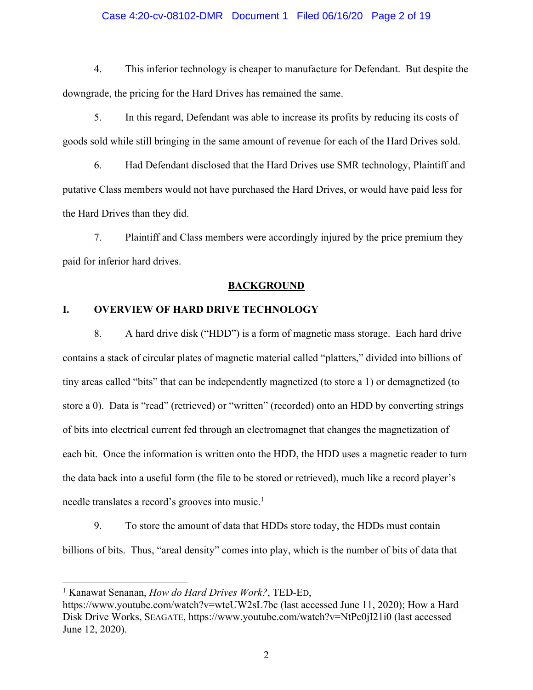#### Case 4:20-cv-08102-DMR Document 1 Filed 06/16/20 Page 2 of 19

4. This inferior technology is cheaper to manufacture for Defendant. But despite the downgrade, the pricing for the Hard Drives has remained the same.

5. In this regard, Defendant was able to increase its profits by reducing its costs of goods sold while still bringing in the same amount of revenue for each of the Hard Drives sold.

6. Had Defendant disclosed that the Hard Drives use SMR technology, Plaintiff and putative Class members would not have purchased the Hard Drives, or would have paid less for the Hard Drives than they did.

7. Plaintiff and Class members were accordingly injured by the price premium they paid for inferior hard drives.

#### **BACKGROUND**

## **I. OVERVIEW OF HARD DRIVE TECHNOLOGY**

8. A hard drive disk ("HDD") is a form of magnetic mass storage. Each hard drive contains a stack of circular plates of magnetic material called "platters," divided into billions of tiny areas called "bits" that can be independently magnetized (to store a 1) or demagnetized (to store a 0). Data is "read" (retrieved) or "written" (recorded) onto an HDD by converting strings of bits into electrical current fed through an electromagnet that changes the magnetization of each bit. Once the information is written onto the HDD, the HDD uses a magnetic reader to turn the data back into a useful form (the file to be stored or retrieved), much like a record player's needle translates a record's grooves into music.<sup>1</sup>

9. To store the amount of data that HDDs store today, the HDDs must contain billions of bits. Thus, "areal density" comes into play, which is the number of bits of data that

<sup>1</sup> Kanawat Senanan, *How do Hard Drives Work?*, TED-ED,

https://www.youtube.com/watch?v=wteUW2sL7bc (last accessed June 11, 2020); How a Hard Disk Drive Works, SEAGATE, https://www.youtube.com/watch?v=NtPc0jI21i0 (last accessed June 12, 2020).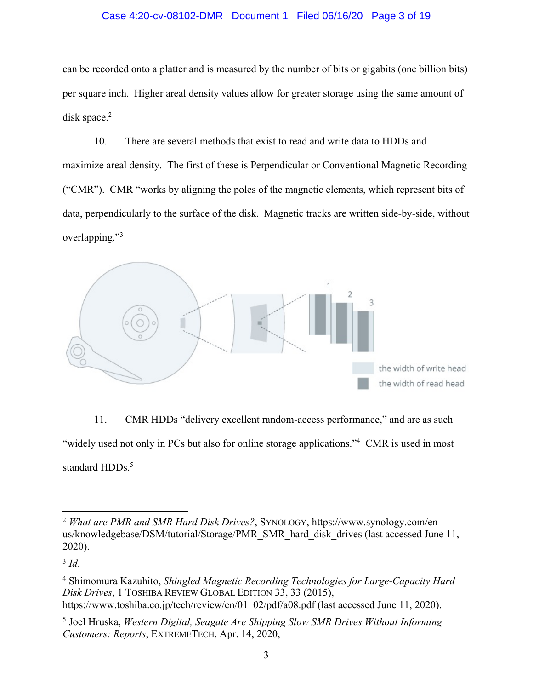## Case 4:20-cv-08102-DMR Document 1 Filed 06/16/20 Page 3 of 19

can be recorded onto a platter and is measured by the number of bits or gigabits (one billion bits) per square inch. Higher areal density values allow for greater storage using the same amount of disk space.<sup>2</sup>

10. There are several methods that exist to read and write data to HDDs and maximize areal density. The first of these is Perpendicular or Conventional Magnetic Recording ("CMR"). CMR "works by aligning the poles of the magnetic elements, which represent bits of data, perpendicularly to the surface of the disk. Magnetic tracks are written side-by-side, without overlapping."3



11. CMR HDDs "delivery excellent random-access performance," and are as such "widely used not only in PCs but also for online storage applications."<sup>4</sup> CMR is used in most standard HDDs.<sup>5</sup>

<sup>3</sup> *Id*.

<sup>2</sup> *What are PMR and SMR Hard Disk Drives?*, SYNOLOGY, https://www.synology.com/enus/knowledgebase/DSM/tutorial/Storage/PMR\_SMR\_hard\_disk\_drives (last accessed June 11, 2020).

<sup>4</sup> Shimomura Kazuhito, *Shingled Magnetic Recording Technologies for Large-Capacity Hard Disk Drives*, 1 TOSHIBA REVIEW GLOBAL EDITION 33, 33 (2015), https://www.toshiba.co.jp/tech/review/en/01\_02/pdf/a08.pdf (last accessed June 11, 2020).

<sup>5</sup> Joel Hruska, *Western Digital, Seagate Are Shipping Slow SMR Drives Without Informing Customers: Reports*, EXTREMETECH, Apr. 14, 2020,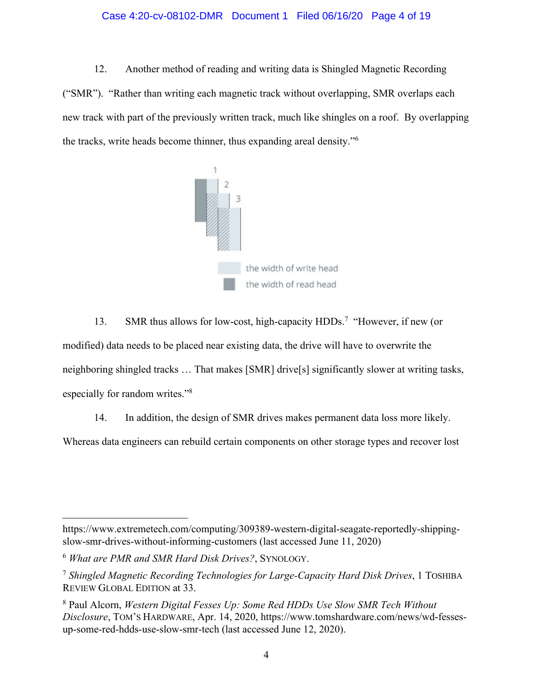### Case 4:20-cv-08102-DMR Document 1 Filed 06/16/20 Page 4 of 19

12. Another method of reading and writing data is Shingled Magnetic Recording ("SMR"). "Rather than writing each magnetic track without overlapping, SMR overlaps each new track with part of the previously written track, much like shingles on a roof. By overlapping the tracks, write heads become thinner, thus expanding areal density."6



13. SMR thus allows for low-cost, high-capacity HDDs.<sup>7</sup> "However, if new (or modified) data needs to be placed near existing data, the drive will have to overwrite the neighboring shingled tracks … That makes [SMR] drive[s] significantly slower at writing tasks, especially for random writes."8

14. In addition, the design of SMR drives makes permanent data loss more likely.

Whereas data engineers can rebuild certain components on other storage types and recover lost

https://www.extremetech.com/computing/309389-western-digital-seagate-reportedly-shippingslow-smr-drives-without-informing-customers (last accessed June 11, 2020)

<sup>6</sup> *What are PMR and SMR Hard Disk Drives?*, SYNOLOGY.

<sup>7</sup> *Shingled Magnetic Recording Technologies for Large-Capacity Hard Disk Drives*, 1 TOSHIBA REVIEW GLOBAL EDITION at 33.

<sup>8</sup> Paul Alcorn, *Western Digital Fesses Up: Some Red HDDs Use Slow SMR Tech Without Disclosure*, TOM'S HARDWARE, Apr. 14, 2020, https://www.tomshardware.com/news/wd-fessesup-some-red-hdds-use-slow-smr-tech (last accessed June 12, 2020).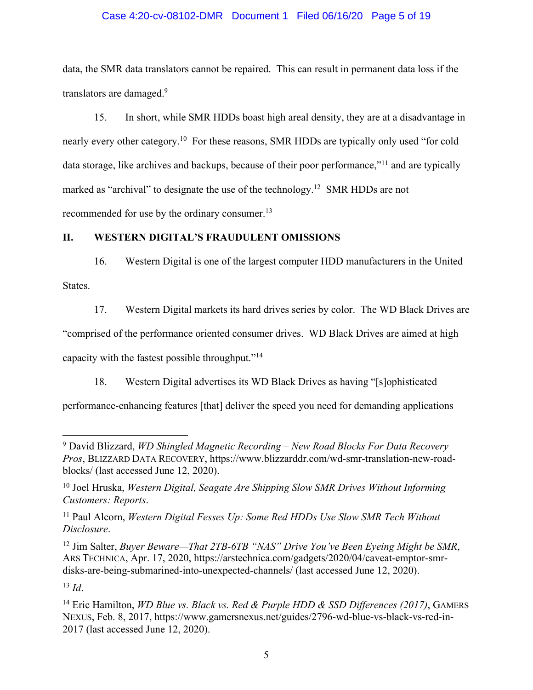## Case 4:20-cv-08102-DMR Document 1 Filed 06/16/20 Page 5 of 19

data, the SMR data translators cannot be repaired. This can result in permanent data loss if the translators are damaged.<sup>9</sup>

15. In short, while SMR HDDs boast high areal density, they are at a disadvantage in nearly every other category.<sup>10</sup> For these reasons, SMR HDDs are typically only used "for cold data storage, like archives and backups, because of their poor performance,"11 and are typically marked as "archival" to designate the use of the technology.<sup>12</sup> SMR HDDs are not recommended for use by the ordinary consumer.13

## **II. WESTERN DIGITAL'S FRAUDULENT OMISSIONS**

16. Western Digital is one of the largest computer HDD manufacturers in the United States.

17. Western Digital markets its hard drives series by color. The WD Black Drives are

"comprised of the performance oriented consumer drives. WD Black Drives are aimed at high

capacity with the fastest possible throughput."14

18. Western Digital advertises its WD Black Drives as having "[s]ophisticated

performance-enhancing features [that] deliver the speed you need for demanding applications

<sup>13</sup> *Id*.

<sup>9</sup> David Blizzard, *WD Shingled Magnetic Recording – New Road Blocks For Data Recovery Pros*, BLIZZARD DATA RECOVERY, https://www.blizzarddr.com/wd-smr-translation-new-roadblocks/ (last accessed June 12, 2020).

<sup>10</sup> Joel Hruska, *Western Digital, Seagate Are Shipping Slow SMR Drives Without Informing Customers: Reports*.

<sup>11</sup> Paul Alcorn, *Western Digital Fesses Up: Some Red HDDs Use Slow SMR Tech Without Disclosure*.

<sup>12</sup> Jim Salter, *Buyer Beware—That 2TB-6TB "NAS" Drive You've Been Eyeing Might be SMR*, ARS TECHNICA, Apr. 17, 2020, https://arstechnica.com/gadgets/2020/04/caveat-emptor-smrdisks-are-being-submarined-into-unexpected-channels/ (last accessed June 12, 2020).

<sup>14</sup> Eric Hamilton, *WD Blue vs. Black vs. Red & Purple HDD & SSD Differences (2017)*, GAMERS NEXUS, Feb. 8, 2017, https://www.gamersnexus.net/guides/2796-wd-blue-vs-black-vs-red-in-2017 (last accessed June 12, 2020).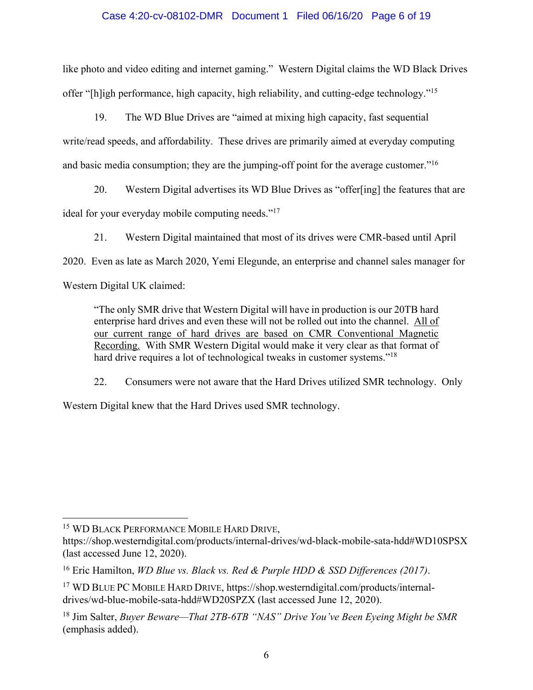## Case 4:20-cv-08102-DMR Document 1 Filed 06/16/20 Page 6 of 19

like photo and video editing and internet gaming." Western Digital claims the WD Black Drives offer "[h]igh performance, high capacity, high reliability, and cutting-edge technology."15

19. The WD Blue Drives are "aimed at mixing high capacity, fast sequential write/read speeds, and affordability. These drives are primarily aimed at everyday computing and basic media consumption; they are the jumping-off point for the average customer."<sup>16</sup>

20. Western Digital advertises its WD Blue Drives as "offer[ing] the features that are ideal for your everyday mobile computing needs."<sup>17</sup>

21. Western Digital maintained that most of its drives were CMR-based until April 2020. Even as late as March 2020, Yemi Elegunde, an enterprise and channel sales manager for Western Digital UK claimed:

"The only SMR drive that Western Digital will have in production is our 20TB hard enterprise hard drives and even these will not be rolled out into the channel. All of our current range of hard drives are based on CMR Conventional Magnetic Recording. With SMR Western Digital would make it very clear as that format of hard drive requires a lot of technological tweaks in customer systems."<sup>18</sup>

22. Consumers were not aware that the Hard Drives utilized SMR technology. Only

Western Digital knew that the Hard Drives used SMR technology.

<sup>15</sup> WD BLACK PERFORMANCE MOBILE HARD DRIVE,

https://shop.westerndigital.com/products/internal-drives/wd-black-mobile-sata-hdd#WD10SPSX (last accessed June 12, 2020).

<sup>16</sup> Eric Hamilton, *WD Blue vs. Black vs. Red & Purple HDD & SSD Differences (2017)*.

<sup>17</sup> WD BLUE PC MOBILE HARD DRIVE, https://shop.westerndigital.com/products/internaldrives/wd-blue-mobile-sata-hdd#WD20SPZX (last accessed June 12, 2020).

<sup>18</sup> Jim Salter, *Buyer Beware—That 2TB-6TB "NAS" Drive You've Been Eyeing Might be SMR* (emphasis added).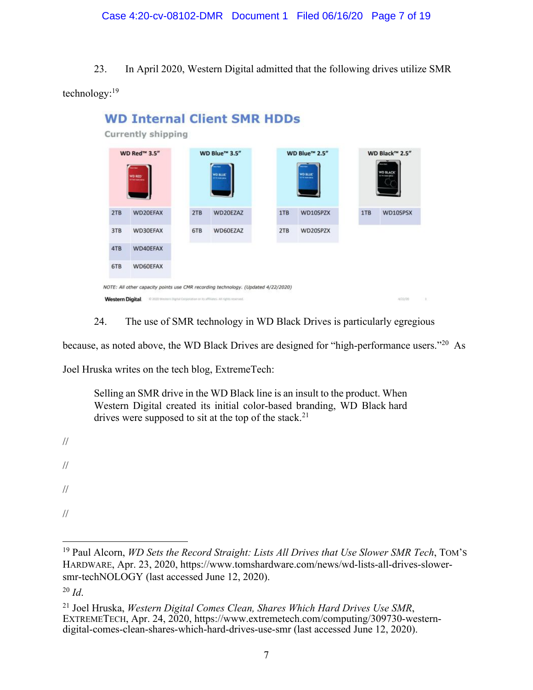23. In April 2020, Western Digital admitted that the following drives utilize SMR

technology:19



24. The use of SMR technology in WD Black Drives is particularly egregious

because, as noted above, the WD Black Drives are designed for "high-performance users."20 As

Joel Hruska writes on the tech blog, ExtremeTech:

Selling an SMR drive in the WD Black line is an insult to the product. When Western Digital created its initial color-based branding, WD Black hard drives were supposed to sit at the top of the stack.<sup>21</sup>

//

- //
- //
- //

<sup>19</sup> Paul Alcorn, *WD Sets the Record Straight: Lists All Drives that Use Slower SMR Tech*, TOM'S HARDWARE, Apr. 23, 2020, https://www.tomshardware.com/news/wd-lists-all-drives-slowersmr-techNOLOGY (last accessed June 12, 2020).

 $^{20}$  *Id.* 

<sup>&</sup>lt;sup>21</sup> Joel Hruska, *Western Digital Comes Clean, Shares Which Hard Drives Use SMR*, EXTREMETECH, Apr. 24, 2020, https://www.extremetech.com/computing/309730-westerndigital-comes-clean-shares-which-hard-drives-use-smr (last accessed June 12, 2020).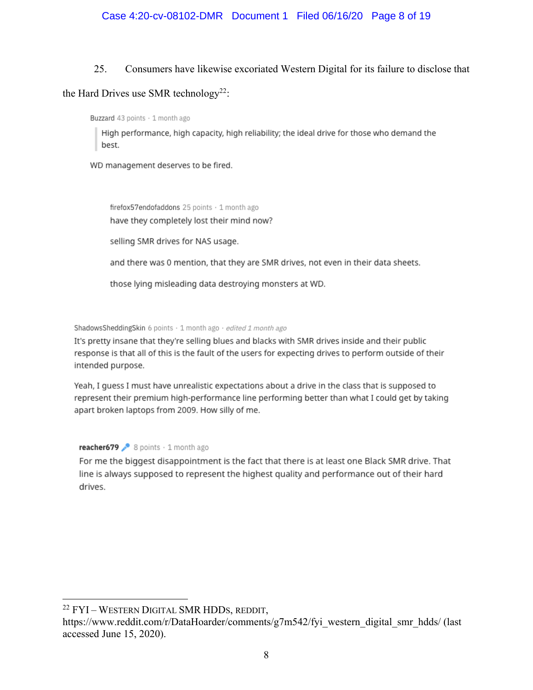## 25. Consumers have likewise excoriated Western Digital for its failure to disclose that

# the Hard Drives use SMR technology<sup>22</sup>:

Buzzard 43 points · 1 month ago

High performance, high capacity, high reliability; the ideal drive for those who demand the best.

WD management deserves to be fired.

firefox57endofaddons 25 points · 1 month ago have they completely lost their mind now?

selling SMR drives for NAS usage.

and there was 0 mention, that they are SMR drives, not even in their data sheets.

those lying misleading data destroying monsters at WD.

ShadowsSheddingSkin 6 points · 1 month ago · edited 1 month ago

It's pretty insane that they're selling blues and blacks with SMR drives inside and their public response is that all of this is the fault of the users for expecting drives to perform outside of their intended purpose.

Yeah, I guess I must have unrealistic expectations about a drive in the class that is supposed to represent their premium high-performance line performing better than what I could get by taking apart broken laptops from 2009. How silly of me.

reacher679  $\triangleright$  8 points  $\cdot$  1 month ago

For me the biggest disappointment is the fact that there is at least one Black SMR drive. That line is always supposed to represent the highest quality and performance out of their hard drives.

<sup>22</sup> FYI – WESTERN DIGITAL SMR HDDS, REDDIT,

https://www.reddit.com/r/DataHoarder/comments/g7m542/fyi\_western\_digital\_smr\_hdds/ (last accessed June 15, 2020).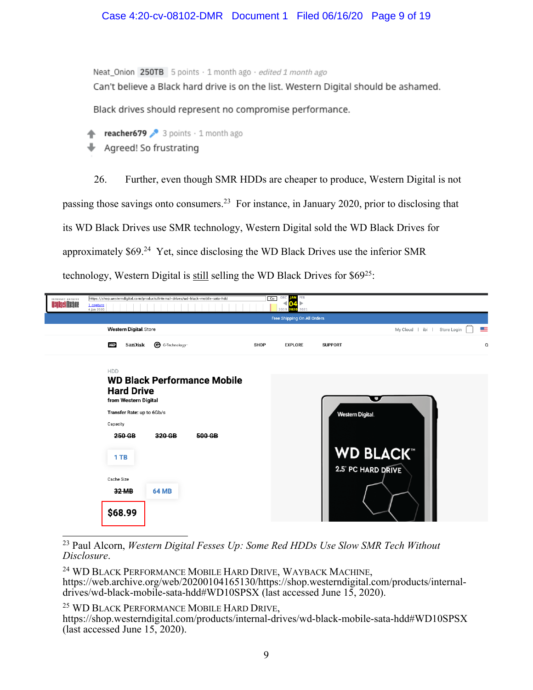## Case 4:20-cv-08102-DMR Document 1 Filed 06/16/20 Page 9 of 19

Neat\_Onion 250TB 5 points · 1 month ago · edited 1 month ago Can't believe a Black hard drive is on the list. Western Digital should be ashamed.

Black drives should represent no compromise performance.

- reacher679 3 points  $\cdot$  1 month ago
- Agreed! So frustrating

26. Further, even though SMR HDDs are cheaper to produce, Western Digital is not passing those savings onto consumers.23 For instance, in January 2020, prior to disclosing that its WD Black Drives use SMR technology, Western Digital sold the WD Black Drives for approximately \$69.24 Yet, since disclosing the WD Black Drives use the inferior SMR technology, Western Digital is still selling the WD Black Drives for \$6925:

| INTERNET ARCHIVE<br><b>WayBackMachine</b> | https://shop.westerndigital.com/products/internal-drives/wd-black-mobile-sata-hdd<br>1 capture<br>4 Jan 2020                                                                                                                    | DEC<br>FEB<br>Co<br>AN<br>020<br>2021<br>2019 |                                                                             |                           |
|-------------------------------------------|---------------------------------------------------------------------------------------------------------------------------------------------------------------------------------------------------------------------------------|-----------------------------------------------|-----------------------------------------------------------------------------|---------------------------|
|                                           |                                                                                                                                                                                                                                 | Free Shipping On All Orders                   |                                                                             |                           |
|                                           | <b>Western Digital</b> . Store                                                                                                                                                                                                  |                                               | My Cloud   ibi                                                              | <u>s a</u><br>Store Login |
|                                           | G-Technology-<br>SanDisk<br><b>WD</b>                                                                                                                                                                                           | <b>SHOP</b><br><b>EXPLORE</b>                 | <b>SUPPORT</b>                                                              | $\circ$                   |
|                                           | <b>HDD</b><br><b>WD Black Performance Mobile</b><br><b>Hard Drive</b><br>from Western Digital<br>Transfer Rate: up to 6Gb/s<br>Capacity<br>320 GB<br>250 GB<br>500 GB<br>1 TB<br>Cache Size<br>32 MB<br><b>64 MB</b><br>\$68.99 |                                               | Ω<br><b>Western Digital</b><br><b>WD BLACK®</b><br><b>2.5 PC HARD DRIVE</b> |                           |

<sup>23</sup> Paul Alcorn, *Western Digital Fesses Up: Some Red HDDs Use Slow SMR Tech Without Disclosure*.

<sup>24</sup> WD BLACK PERFORMANCE MOBILE HARD DRIVE, WAYBACK MACHINE, https://web.archive.org/web/20200104165130/https://shop.westerndigital.com/products/internaldrives/wd-black-mobile-sata-hdd#WD10SPSX (last accessed June 15, 2020).

<sup>25</sup> WD BLACK PERFORMANCE MOBILE HARD DRIVE,<br>https://shop.westerndigital.com/products/internal-drives/wd-black-mobile-sata-hdd#WD10SPSX (last accessed June 15, 2020).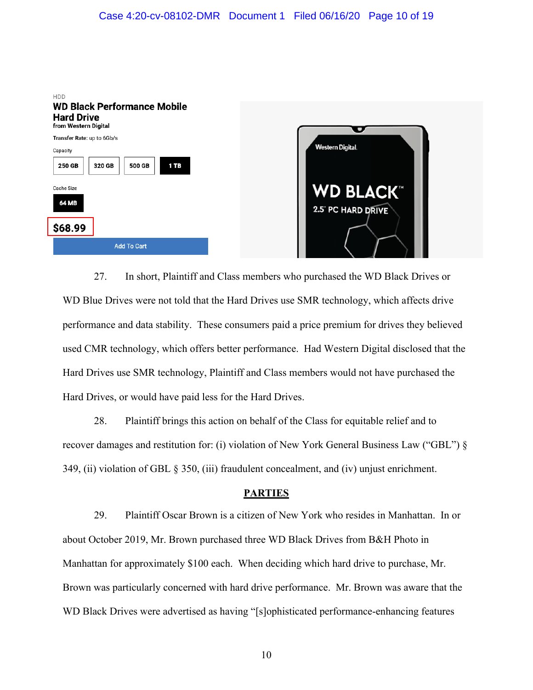

27. In short, Plaintiff and Class members who purchased the WD Black Drives or WD Blue Drives were not told that the Hard Drives use SMR technology, which affects drive performance and data stability. These consumers paid a price premium for drives they believed used CMR technology, which offers better performance. Had Western Digital disclosed that the Hard Drives use SMR technology, Plaintiff and Class members would not have purchased the Hard Drives, or would have paid less for the Hard Drives.

28. Plaintiff brings this action on behalf of the Class for equitable relief and to recover damages and restitution for: (i) violation of New York General Business Law ("GBL") § 349, (ii) violation of GBL § 350, (iii) fraudulent concealment, and (iv) unjust enrichment.

### **PARTIES**

29. Plaintiff Oscar Brown is a citizen of New York who resides in Manhattan. In or about October 2019, Mr. Brown purchased three WD Black Drives from B&H Photo in Manhattan for approximately \$100 each. When deciding which hard drive to purchase, Mr. Brown was particularly concerned with hard drive performance. Mr. Brown was aware that the WD Black Drives were advertised as having "[s]ophisticated performance-enhancing features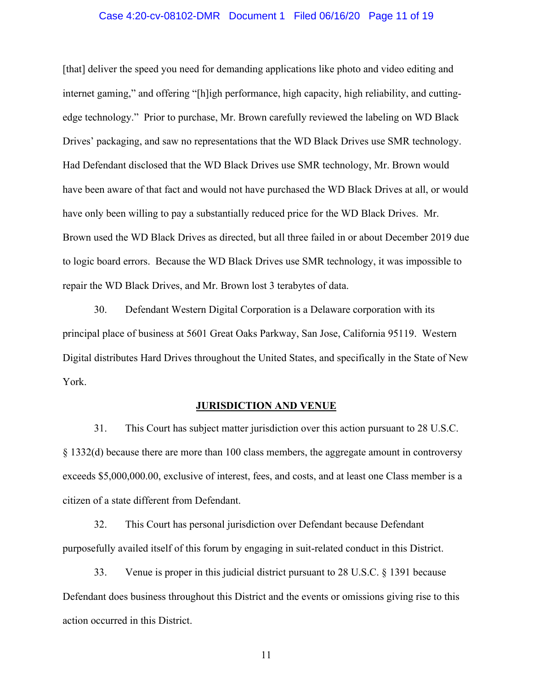#### Case 4:20-cv-08102-DMR Document 1 Filed 06/16/20 Page 11 of 19

[that] deliver the speed you need for demanding applications like photo and video editing and internet gaming," and offering "[h]igh performance, high capacity, high reliability, and cuttingedge technology." Prior to purchase, Mr. Brown carefully reviewed the labeling on WD Black Drives' packaging, and saw no representations that the WD Black Drives use SMR technology. Had Defendant disclosed that the WD Black Drives use SMR technology, Mr. Brown would have been aware of that fact and would not have purchased the WD Black Drives at all, or would have only been willing to pay a substantially reduced price for the WD Black Drives. Mr. Brown used the WD Black Drives as directed, but all three failed in or about December 2019 due to logic board errors. Because the WD Black Drives use SMR technology, it was impossible to repair the WD Black Drives, and Mr. Brown lost 3 terabytes of data.

30. Defendant Western Digital Corporation is a Delaware corporation with its principal place of business at 5601 Great Oaks Parkway, San Jose, California 95119. Western Digital distributes Hard Drives throughout the United States, and specifically in the State of New York.

#### **JURISDICTION AND VENUE**

31. This Court has subject matter jurisdiction over this action pursuant to 28 U.S.C. § 1332(d) because there are more than 100 class members, the aggregate amount in controversy exceeds \$5,000,000.00, exclusive of interest, fees, and costs, and at least one Class member is a citizen of a state different from Defendant.

32. This Court has personal jurisdiction over Defendant because Defendant purposefully availed itself of this forum by engaging in suit-related conduct in this District.

33. Venue is proper in this judicial district pursuant to 28 U.S.C. § 1391 because Defendant does business throughout this District and the events or omissions giving rise to this action occurred in this District.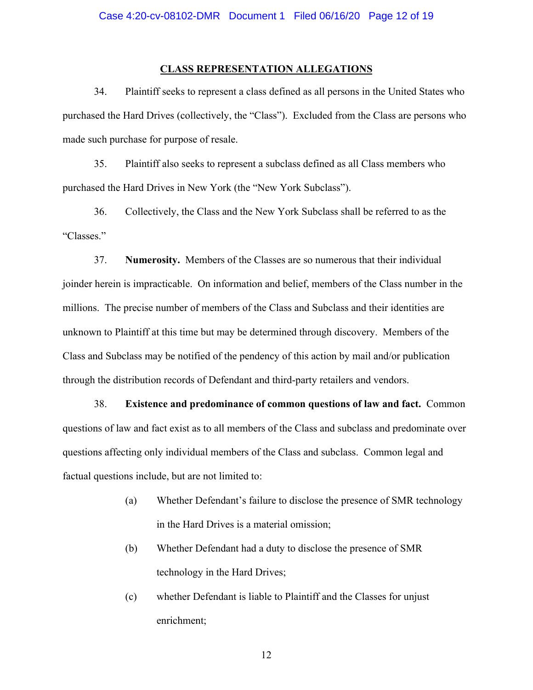#### **CLASS REPRESENTATION ALLEGATIONS**

34. Plaintiff seeks to represent a class defined as all persons in the United States who purchased the Hard Drives (collectively, the "Class"). Excluded from the Class are persons who made such purchase for purpose of resale.

35. Plaintiff also seeks to represent a subclass defined as all Class members who purchased the Hard Drives in New York (the "New York Subclass").

36. Collectively, the Class and the New York Subclass shall be referred to as the "Classes."

37. **Numerosity.** Members of the Classes are so numerous that their individual joinder herein is impracticable. On information and belief, members of the Class number in the millions. The precise number of members of the Class and Subclass and their identities are unknown to Plaintiff at this time but may be determined through discovery. Members of the Class and Subclass may be notified of the pendency of this action by mail and/or publication through the distribution records of Defendant and third-party retailers and vendors.

38. **Existence and predominance of common questions of law and fact.** Common questions of law and fact exist as to all members of the Class and subclass and predominate over questions affecting only individual members of the Class and subclass. Common legal and factual questions include, but are not limited to:

- (a) Whether Defendant's failure to disclose the presence of SMR technology in the Hard Drives is a material omission;
- (b) Whether Defendant had a duty to disclose the presence of SMR technology in the Hard Drives;
- (c) whether Defendant is liable to Plaintiff and the Classes for unjust enrichment;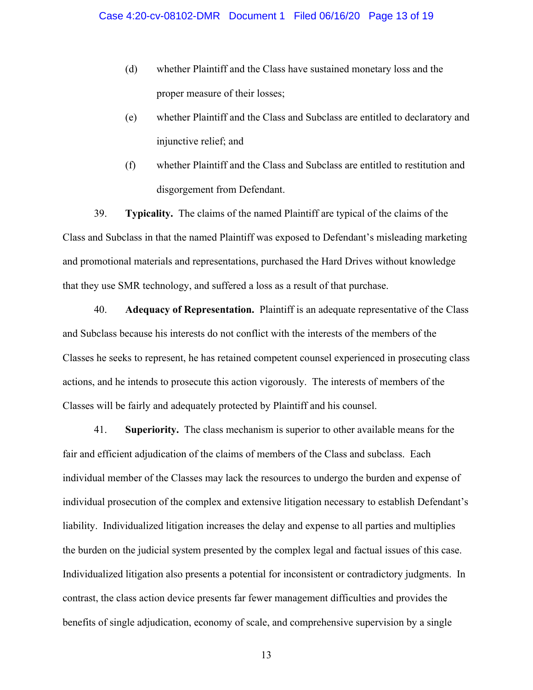- (d) whether Plaintiff and the Class have sustained monetary loss and the proper measure of their losses;
- (e) whether Plaintiff and the Class and Subclass are entitled to declaratory and injunctive relief; and
- (f) whether Plaintiff and the Class and Subclass are entitled to restitution and disgorgement from Defendant.

39. **Typicality.** The claims of the named Plaintiff are typical of the claims of the Class and Subclass in that the named Plaintiff was exposed to Defendant's misleading marketing and promotional materials and representations, purchased the Hard Drives without knowledge that they use SMR technology, and suffered a loss as a result of that purchase.

40. **Adequacy of Representation.** Plaintiff is an adequate representative of the Class and Subclass because his interests do not conflict with the interests of the members of the Classes he seeks to represent, he has retained competent counsel experienced in prosecuting class actions, and he intends to prosecute this action vigorously. The interests of members of the Classes will be fairly and adequately protected by Plaintiff and his counsel.

41. **Superiority.** The class mechanism is superior to other available means for the fair and efficient adjudication of the claims of members of the Class and subclass. Each individual member of the Classes may lack the resources to undergo the burden and expense of individual prosecution of the complex and extensive litigation necessary to establish Defendant's liability. Individualized litigation increases the delay and expense to all parties and multiplies the burden on the judicial system presented by the complex legal and factual issues of this case. Individualized litigation also presents a potential for inconsistent or contradictory judgments. In contrast, the class action device presents far fewer management difficulties and provides the benefits of single adjudication, economy of scale, and comprehensive supervision by a single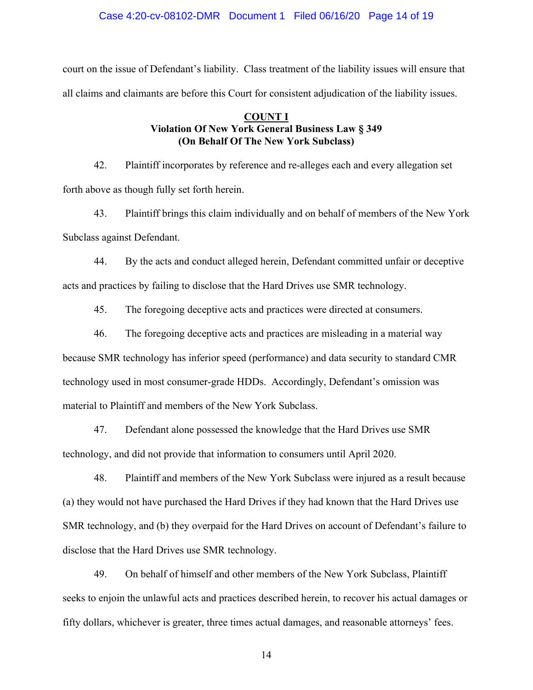#### Case 4:20-cv-08102-DMR Document 1 Filed 06/16/20 Page 14 of 19

court on the issue of Defendant's liability. Class treatment of the liability issues will ensure that all claims and claimants are before this Court for consistent adjudication of the liability issues.

## **COUNT I Violation Of New York General Business Law § 349 (On Behalf Of The New York Subclass)**

42. Plaintiff incorporates by reference and re-alleges each and every allegation set forth above as though fully set forth herein.

43. Plaintiff brings this claim individually and on behalf of members of the New York Subclass against Defendant.

44. By the acts and conduct alleged herein, Defendant committed unfair or deceptive acts and practices by failing to disclose that the Hard Drives use SMR technology.

45. The foregoing deceptive acts and practices were directed at consumers.

46. The foregoing deceptive acts and practices are misleading in a material way

because SMR technology has inferior speed (performance) and data security to standard CMR technology used in most consumer-grade HDDs. Accordingly, Defendant's omission was material to Plaintiff and members of the New York Subclass.

47. Defendant alone possessed the knowledge that the Hard Drives use SMR technology, and did not provide that information to consumers until April 2020.

48. Plaintiff and members of the New York Subclass were injured as a result because (a) they would not have purchased the Hard Drives if they had known that the Hard Drives use SMR technology, and (b) they overpaid for the Hard Drives on account of Defendant's failure to disclose that the Hard Drives use SMR technology.

49. On behalf of himself and other members of the New York Subclass, Plaintiff seeks to enjoin the unlawful acts and practices described herein, to recover his actual damages or fifty dollars, whichever is greater, three times actual damages, and reasonable attorneys' fees.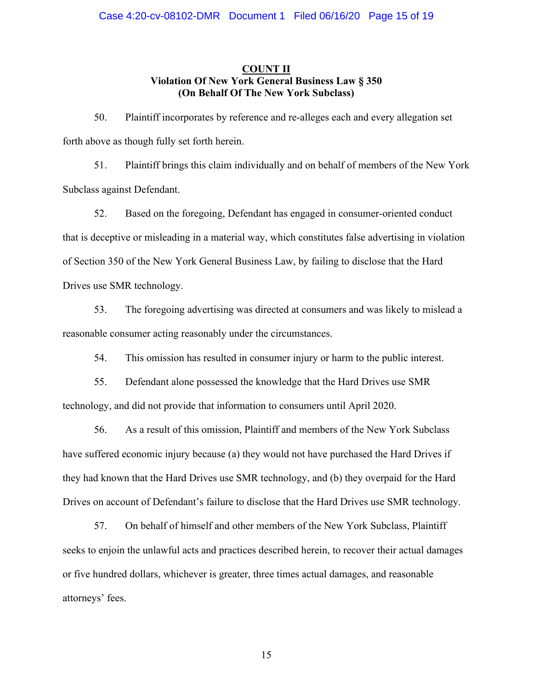## **COUNT II Violation Of New York General Business Law § 350 (On Behalf Of The New York Subclass)**

50. Plaintiff incorporates by reference and re-alleges each and every allegation set forth above as though fully set forth herein.

51. Plaintiff brings this claim individually and on behalf of members of the New York Subclass against Defendant.

52. Based on the foregoing, Defendant has engaged in consumer-oriented conduct that is deceptive or misleading in a material way, which constitutes false advertising in violation of Section 350 of the New York General Business Law, by failing to disclose that the Hard Drives use SMR technology.

53. The foregoing advertising was directed at consumers and was likely to mislead a reasonable consumer acting reasonably under the circumstances.

54. This omission has resulted in consumer injury or harm to the public interest.

55. Defendant alone possessed the knowledge that the Hard Drives use SMR technology, and did not provide that information to consumers until April 2020.

56. As a result of this omission, Plaintiff and members of the New York Subclass have suffered economic injury because (a) they would not have purchased the Hard Drives if they had known that the Hard Drives use SMR technology, and (b) they overpaid for the Hard Drives on account of Defendant's failure to disclose that the Hard Drives use SMR technology.

57. On behalf of himself and other members of the New York Subclass, Plaintiff seeks to enjoin the unlawful acts and practices described herein, to recover their actual damages or five hundred dollars, whichever is greater, three times actual damages, and reasonable attorneys' fees.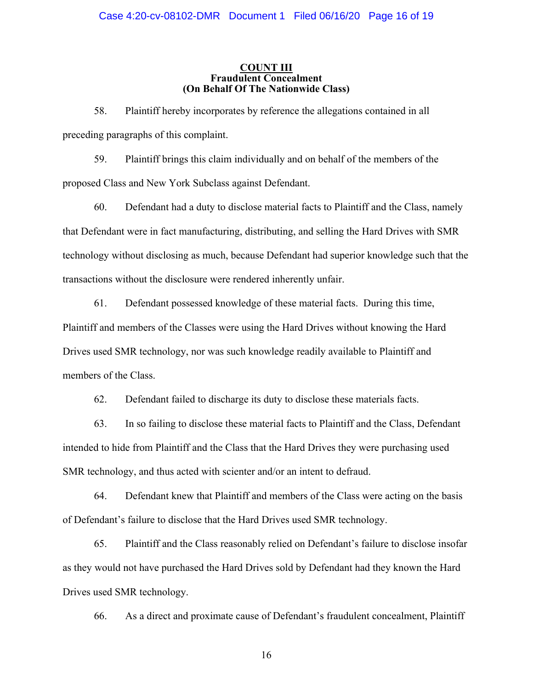#### **COUNT III Fraudulent Concealment (On Behalf Of The Nationwide Class)**

58. Plaintiff hereby incorporates by reference the allegations contained in all preceding paragraphs of this complaint.

59. Plaintiff brings this claim individually and on behalf of the members of the proposed Class and New York Subclass against Defendant.

60. Defendant had a duty to disclose material facts to Plaintiff and the Class, namely that Defendant were in fact manufacturing, distributing, and selling the Hard Drives with SMR technology without disclosing as much, because Defendant had superior knowledge such that the transactions without the disclosure were rendered inherently unfair.

61. Defendant possessed knowledge of these material facts. During this time, Plaintiff and members of the Classes were using the Hard Drives without knowing the Hard Drives used SMR technology, nor was such knowledge readily available to Plaintiff and members of the Class.

62. Defendant failed to discharge its duty to disclose these materials facts.

63. In so failing to disclose these material facts to Plaintiff and the Class, Defendant intended to hide from Plaintiff and the Class that the Hard Drives they were purchasing used SMR technology, and thus acted with scienter and/or an intent to defraud.

64. Defendant knew that Plaintiff and members of the Class were acting on the basis of Defendant's failure to disclose that the Hard Drives used SMR technology.

65. Plaintiff and the Class reasonably relied on Defendant's failure to disclose insofar as they would not have purchased the Hard Drives sold by Defendant had they known the Hard Drives used SMR technology.

66. As a direct and proximate cause of Defendant's fraudulent concealment, Plaintiff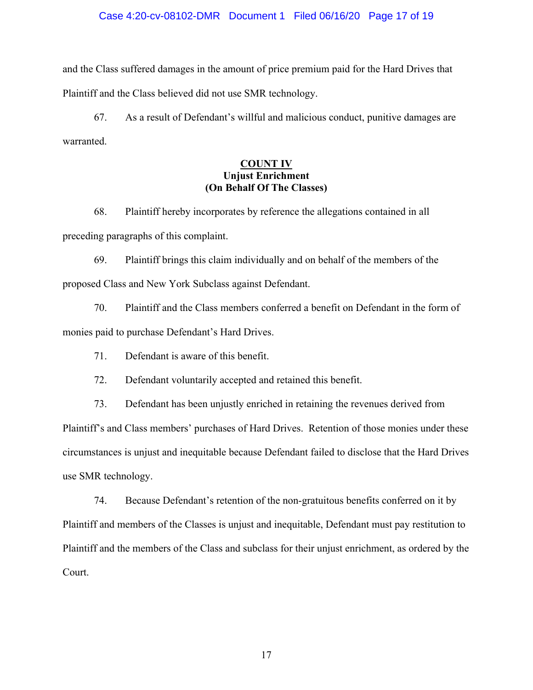#### Case 4:20-cv-08102-DMR Document 1 Filed 06/16/20 Page 17 of 19

and the Class suffered damages in the amount of price premium paid for the Hard Drives that Plaintiff and the Class believed did not use SMR technology.

67. As a result of Defendant's willful and malicious conduct, punitive damages are warranted.

## **COUNT IV Unjust Enrichment (On Behalf Of The Classes)**

68. Plaintiff hereby incorporates by reference the allegations contained in all preceding paragraphs of this complaint.

69. Plaintiff brings this claim individually and on behalf of the members of the proposed Class and New York Subclass against Defendant.

70. Plaintiff and the Class members conferred a benefit on Defendant in the form of monies paid to purchase Defendant's Hard Drives.

71. Defendant is aware of this benefit.

72. Defendant voluntarily accepted and retained this benefit.

73. Defendant has been unjustly enriched in retaining the revenues derived from Plaintiff's and Class members' purchases of Hard Drives. Retention of those monies under these circumstances is unjust and inequitable because Defendant failed to disclose that the Hard Drives use SMR technology.

74. Because Defendant's retention of the non-gratuitous benefits conferred on it by Plaintiff and members of the Classes is unjust and inequitable, Defendant must pay restitution to Plaintiff and the members of the Class and subclass for their unjust enrichment, as ordered by the Court.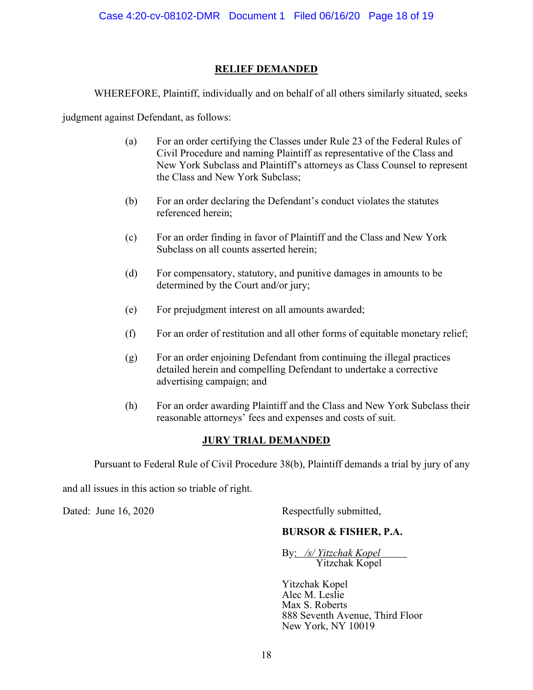## **RELIEF DEMANDED**

WHEREFORE, Plaintiff, individually and on behalf of all others similarly situated, seeks

judgment against Defendant, as follows:

- (a) For an order certifying the Classes under Rule 23 of the Federal Rules of Civil Procedure and naming Plaintiff as representative of the Class and New York Subclass and Plaintiff's attorneys as Class Counsel to represent the Class and New York Subclass;
- (b) For an order declaring the Defendant's conduct violates the statutes referenced herein;
- (c) For an order finding in favor of Plaintiff and the Class and New York Subclass on all counts asserted herein;
- (d) For compensatory, statutory, and punitive damages in amounts to be determined by the Court and/or jury;
- (e) For prejudgment interest on all amounts awarded;
- (f) For an order of restitution and all other forms of equitable monetary relief;
- (g) For an order enjoining Defendant from continuing the illegal practices detailed herein and compelling Defendant to undertake a corrective advertising campaign; and
- (h) For an order awarding Plaintiff and the Class and New York Subclass their reasonable attorneys' fees and expenses and costs of suit.

# **JURY TRIAL DEMANDED**

Pursuant to Federal Rule of Civil Procedure 38(b), Plaintiff demands a trial by jury of any

and all issues in this action so triable of right.

Dated: June 16, 2020 Respectfully submitted,

# **BURSOR & FISHER, P.A.**

By: */s/ Yitzchak Kopel* Yitzchak Kopel

Yitzchak Kopel Alec M. Leslie Max S. Roberts 888 Seventh Avenue, Third Floor New York, NY 10019